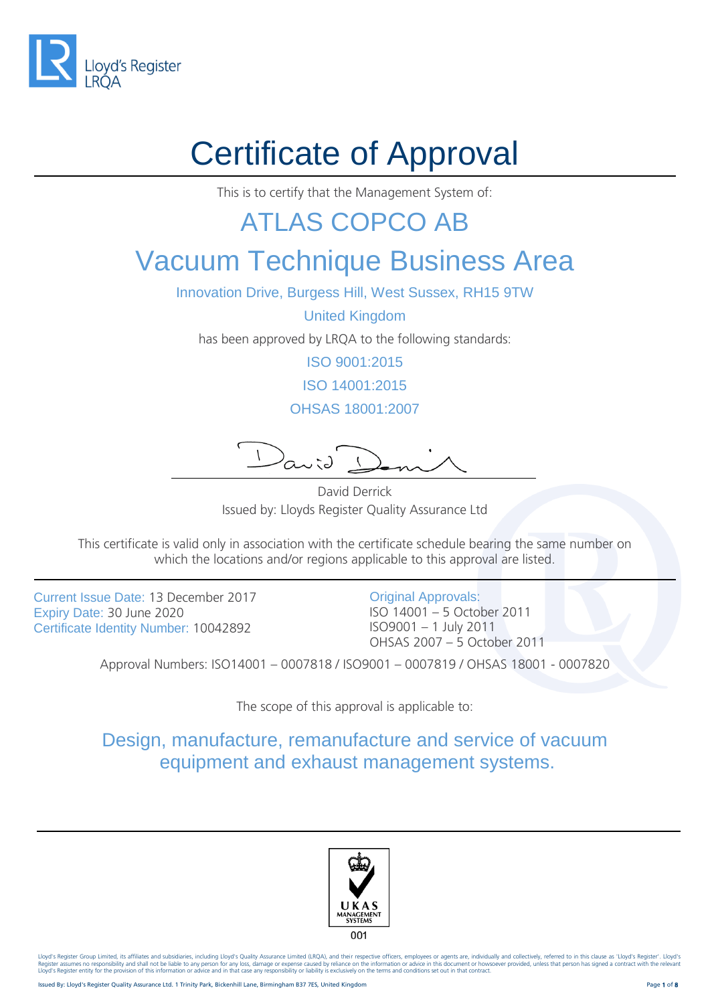

# Certificate of Approval

This is to certify that the Management System of:

#### ATLAS COPCO AB

#### Vacuum Technique Business Area

Innovation Drive, Burgess Hill, West Sussex, RH15 9TW

United Kingdom

has been approved by LRQA to the following standards:

ISO 9001:2015

ISO 14001:2015

OHSAS 18001:2007

David

David Derrick Issued by: Lloyds Register Quality Assurance Ltd

This certificate is valid only in association with the certificate schedule bearing the same number on which the locations and/or regions applicable to this approval are listed.

Current Issue Date: 13 December 2017 Expiry Date: 30 June 2020 Certificate Identity Number: 10042892

Original Approvals: ISO 14001 – 5 October 2011 ISO9001 – 1 July 2011 OHSAS 2007 – 5 October 2011

Approval Numbers: ISO14001 – 0007818 / ISO9001 – 0007819 / OHSAS 18001 - 0007820

The scope of this approval is applicable to:

Design, manufacture, remanufacture and service of vacuum equipment and exhaust management systems.

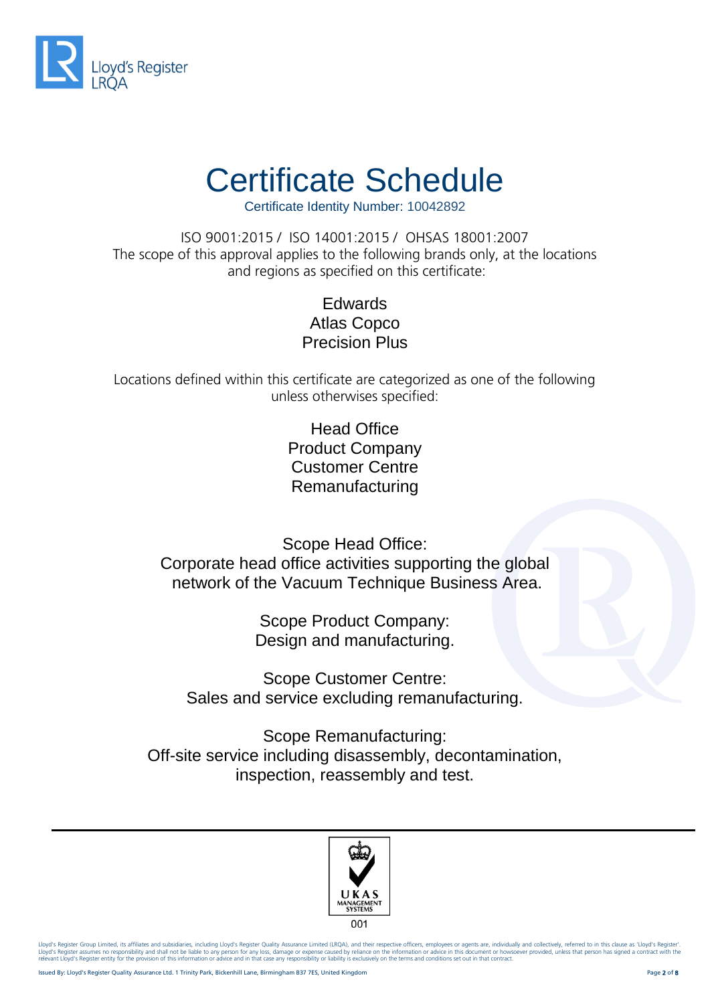

Certificate Identity Number: 10042892

ISO 9001:2015 / ISO 14001:2015 / OHSAS 18001:2007 The scope of this approval applies to the following brands only, at the locations and regions as specified on this certificate:

> Edwards Atlas Copco Precision Plus

Locations defined within this certificate are categorized as one of the following unless otherwises specified:

> Head Office Product Company Customer Centre Remanufacturing

Scope Head Office: Corporate head office activities supporting the global network of the Vacuum Technique Business Area.

> Scope Product Company: Design and manufacturing.

Scope Customer Centre: Sales and service excluding remanufacturing.

Scope Remanufacturing: Off-site service including disassembly, decontamination, inspection, reassembly and test.

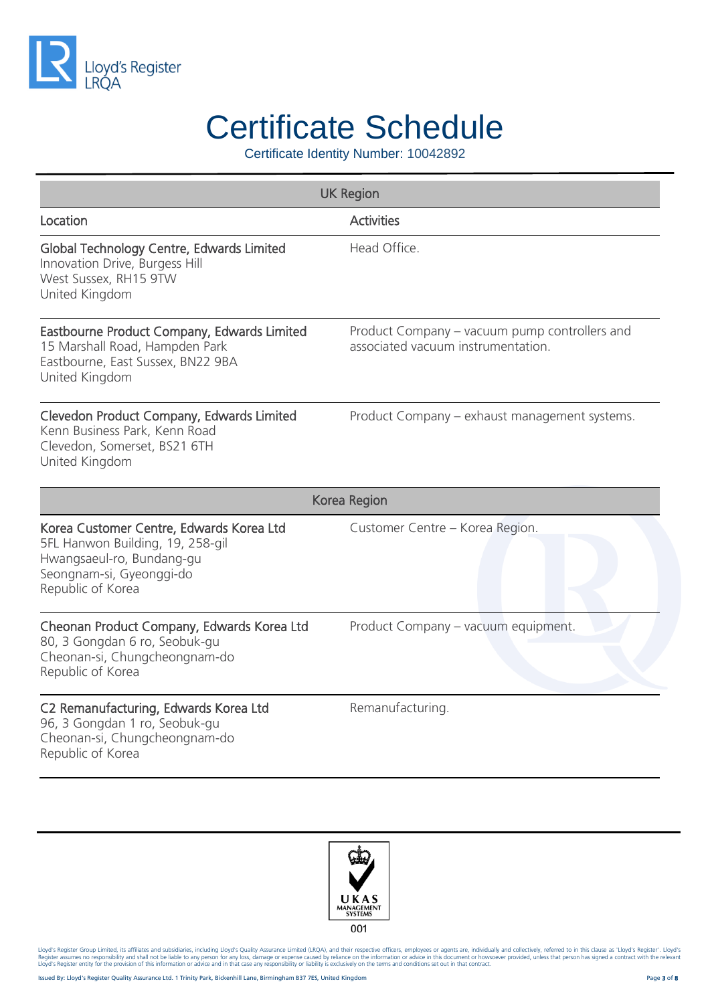

Certificate Identity Number: 10042892

| <b>UK Region</b>                                                                                                                                           |                                                                                     |  |
|------------------------------------------------------------------------------------------------------------------------------------------------------------|-------------------------------------------------------------------------------------|--|
| Location                                                                                                                                                   | <b>Activities</b>                                                                   |  |
| Global Technology Centre, Edwards Limited<br>Innovation Drive, Burgess Hill<br>West Sussex, RH15 9TW<br>United Kingdom                                     | Head Office.                                                                        |  |
| Eastbourne Product Company, Edwards Limited<br>15 Marshall Road, Hampden Park<br>Eastbourne, East Sussex, BN22 9BA<br>United Kingdom                       | Product Company – vacuum pump controllers and<br>associated vacuum instrumentation. |  |
| Clevedon Product Company, Edwards Limited<br>Kenn Business Park, Kenn Road<br>Clevedon, Somerset, BS21 6TH<br>United Kingdom                               | Product Company - exhaust management systems.                                       |  |
| Korea Region                                                                                                                                               |                                                                                     |  |
| Korea Customer Centre, Edwards Korea Ltd<br>5FL Hanwon Building, 19, 258-gil<br>Hwangsaeul-ro, Bundang-gu<br>Seongnam-si, Gyeonggi-do<br>Republic of Korea | Customer Centre - Korea Region.                                                     |  |
| Cheonan Product Company, Edwards Korea Ltd<br>80, 3 Gongdan 6 ro, Seobuk-gu<br>Cheonan-si, Chungcheongnam-do<br>Republic of Korea                          | Product Company - vacuum equipment.                                                 |  |
| C2 Remanufacturing, Edwards Korea Ltd<br>96, 3 Gongdan 1 ro, Seobuk-gu<br>Cheonan-si, Chungcheongnam-do<br>Republic of Korea                               | Remanufacturing.                                                                    |  |

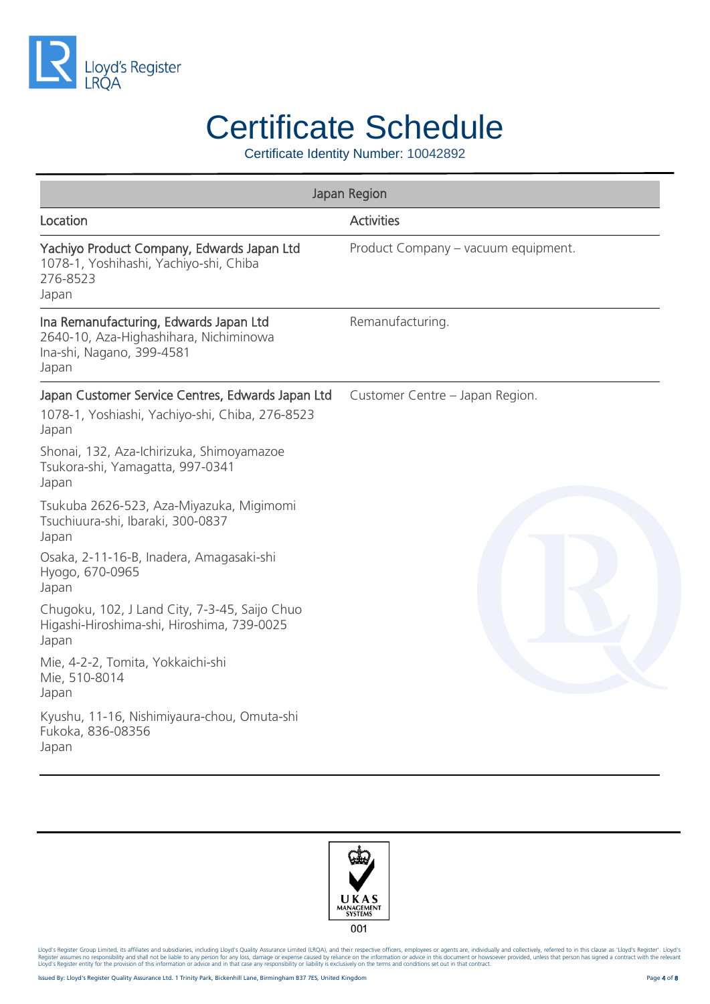

Certificate Identity Number: 10042892

| Japan Region                                                                                                           |                                     |
|------------------------------------------------------------------------------------------------------------------------|-------------------------------------|
| Location                                                                                                               | <b>Activities</b>                   |
| Yachiyo Product Company, Edwards Japan Ltd<br>1078-1, Yoshihashi, Yachiyo-shi, Chiba<br>276-8523<br>Japan              | Product Company - vacuum equipment. |
| Ina Remanufacturing, Edwards Japan Ltd<br>2640-10, Aza-Highashihara, Nichiminowa<br>Ina-shi, Nagano, 399-4581<br>Japan | Remanufacturing.                    |
| Japan Customer Service Centres, Edwards Japan Ltd<br>1078-1, Yoshiashi, Yachiyo-shi, Chiba, 276-8523<br>Japan          | Customer Centre - Japan Region.     |
| Shonai, 132, Aza-Ichirizuka, Shimoyamazoe<br>Tsukora-shi, Yamagatta, 997-0341<br>Japan                                 |                                     |
| Tsukuba 2626-523, Aza-Miyazuka, Migimomi<br>Tsuchiuura-shi, Ibaraki, 300-0837<br>Japan                                 |                                     |
| Osaka, 2-11-16-B, Inadera, Amagasaki-shi<br>Hyogo, 670-0965<br>Japan                                                   |                                     |
| Chugoku, 102, J Land City, 7-3-45, Saijo Chuo<br>Higashi-Hiroshima-shi, Hiroshima, 739-0025<br>Japan                   |                                     |
| Mie, 4-2-2, Tomita, Yokkaichi-shi<br>Mie, 510-8014<br>Japan                                                            |                                     |
| Kyushu, 11-16, Nishimiyaura-chou, Omuta-shi<br>Fukoka, 836-08356<br>Japan                                              |                                     |

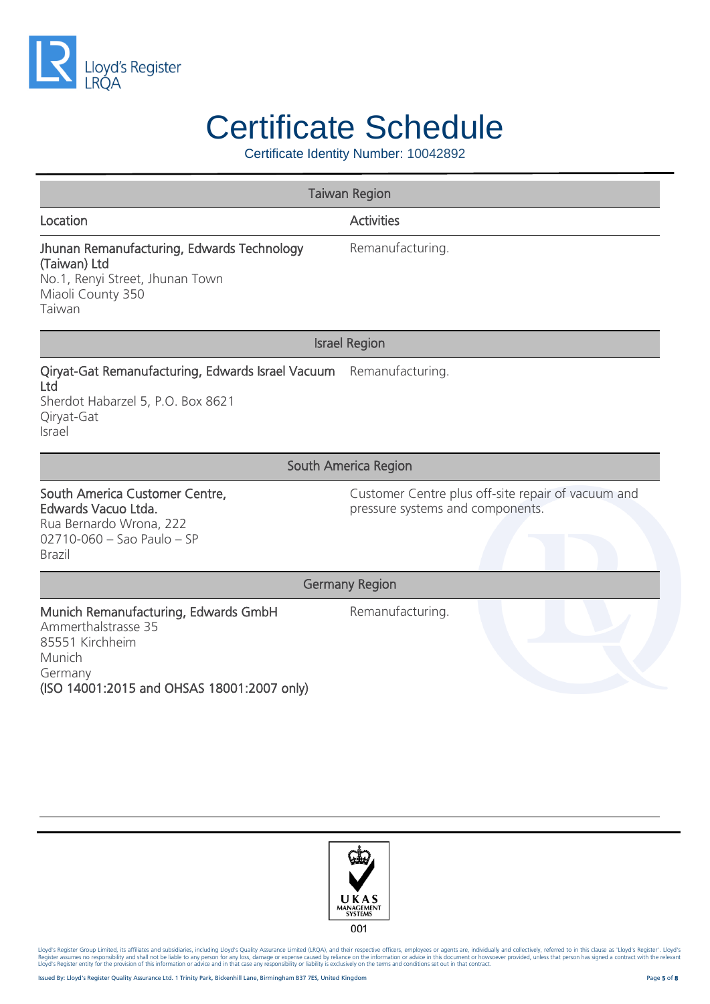

Certificate Identity Number: 10042892

| <b>Taiwan Region</b>                                                                                                                              |                                                                                        |  |
|---------------------------------------------------------------------------------------------------------------------------------------------------|----------------------------------------------------------------------------------------|--|
| Location                                                                                                                                          | <b>Activities</b>                                                                      |  |
| Jhunan Remanufacturing, Edwards Technology<br>(Taiwan) Ltd<br>No.1, Renyi Street, Jhunan Town<br>Miaoli County 350<br>Taiwan                      | Remanufacturing.                                                                       |  |
| <b>Israel Region</b>                                                                                                                              |                                                                                        |  |
| Qiryat-Gat Remanufacturing, Edwards Israel Vacuum Remanufacturing.<br>Ltd<br>Sherdot Habarzel 5, P.O. Box 8621<br>Qiryat-Gat<br>Israel            |                                                                                        |  |
| South America Region                                                                                                                              |                                                                                        |  |
| South America Customer Centre,<br>Edwards Vacuo Ltda.<br>Rua Bernardo Wrona, 222<br>02710-060 - Sao Paulo - SP<br><b>Brazil</b>                   | Customer Centre plus off-site repair of vacuum and<br>pressure systems and components. |  |
| <b>Germany Region</b>                                                                                                                             |                                                                                        |  |
| Munich Remanufacturing, Edwards GmbH<br>Ammerthalstrasse 35<br>85551 Kirchheim<br>Munich<br>Germany<br>(ISO 14001:2015 and OHSAS 18001:2007 only) | Remanufacturing.                                                                       |  |

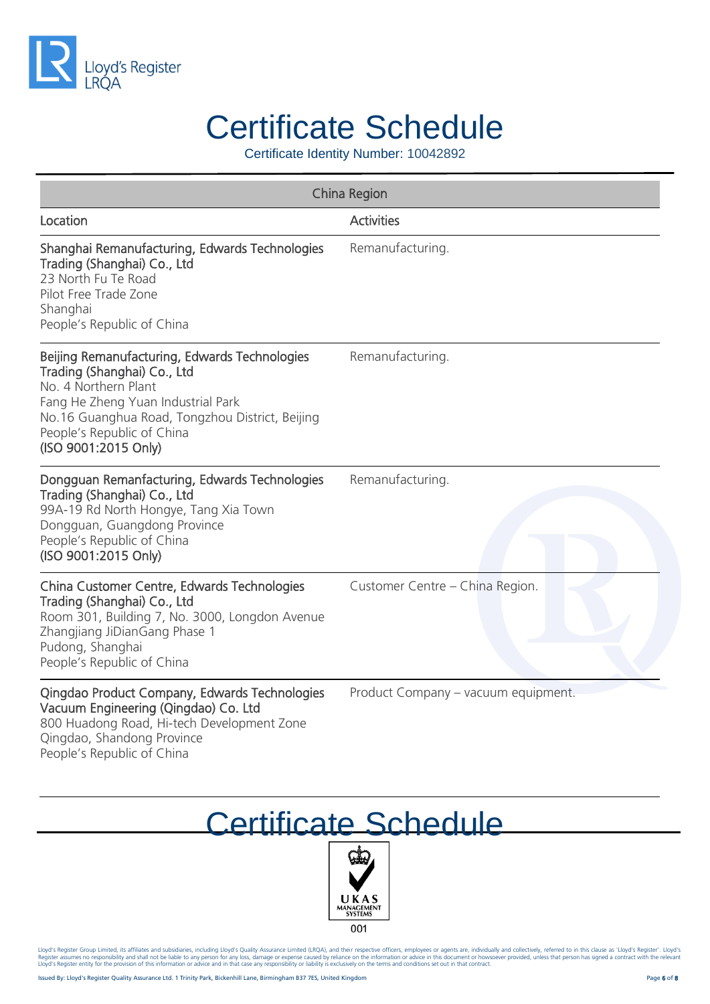

Certificate Identity Number: 10042892

| China Region                                                                                                                                                                                                                                        |                                     |
|-----------------------------------------------------------------------------------------------------------------------------------------------------------------------------------------------------------------------------------------------------|-------------------------------------|
| Location                                                                                                                                                                                                                                            | <b>Activities</b>                   |
| Shanghai Remanufacturing, Edwards Technologies<br>Trading (Shanghai) Co., Ltd<br>23 North Fu Te Road<br>Pilot Free Trade Zone<br>Shanghai<br>People's Republic of China                                                                             | Remanufacturing.                    |
| Beijing Remanufacturing, Edwards Technologies<br>Trading (Shanghai) Co., Ltd<br>No. 4 Northern Plant<br>Fang He Zheng Yuan Industrial Park<br>No.16 Guanghua Road, Tongzhou District, Beijing<br>People's Republic of China<br>(ISO 9001:2015 Only) | Remanufacturing.                    |
| Dongguan Remanfacturing, Edwards Technologies<br>Trading (Shanghai) Co., Ltd<br>99A-19 Rd North Hongye, Tang Xia Town<br>Dongguan, Guangdong Province<br>People's Republic of China<br>(ISO 9001:2015 Only)                                         | Remanufacturing.                    |
| China Customer Centre, Edwards Technologies<br>Trading (Shanghai) Co., Ltd<br>Room 301, Building 7, No. 3000, Longdon Avenue<br>Zhangjiang JiDianGang Phase 1<br>Pudong, Shanghai<br>People's Republic of China                                     | Customer Centre - China Region.     |
| Qingdao Product Company, Edwards Technologies<br>Vacuum Engineering (Qingdao) Co. Ltd<br>800 Huadong Road, Hi-tech Development Zone<br>Qingdao, Shandong Province                                                                                   | Product Company - vacuum equipment. |

Certificate Schedule



Lloyd's Register Group Limited, its affiliates and subsidiaries, including Lloyd's Quality Assurance Limited (LRQA), and their respective officers, employees or agents are, individually and collectively, referred to in thi

People's Republic of China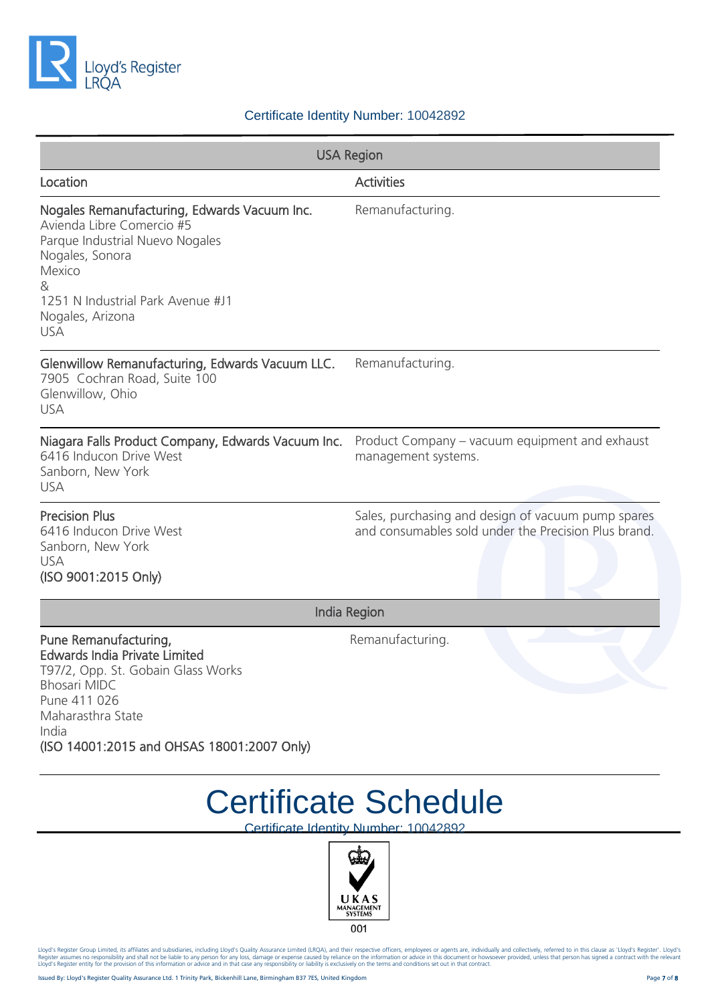

#### Certificate Identity Number: 10042892

| <b>USA Region</b>                                                                                                                                                                                                      |                                                                                                            |  |
|------------------------------------------------------------------------------------------------------------------------------------------------------------------------------------------------------------------------|------------------------------------------------------------------------------------------------------------|--|
| Location                                                                                                                                                                                                               | <b>Activities</b>                                                                                          |  |
| Nogales Remanufacturing, Edwards Vacuum Inc.<br>Avienda Libre Comercio #5<br>Parque Industrial Nuevo Nogales<br>Nogales, Sonora<br>Mexico<br>&<br>1251 N Industrial Park Avenue #J1<br>Nogales, Arizona<br><b>USA</b>  | Remanufacturing.                                                                                           |  |
| Glenwillow Remanufacturing, Edwards Vacuum LLC.<br>7905 Cochran Road, Suite 100<br>Glenwillow, Ohio<br><b>USA</b>                                                                                                      | Remanufacturing.                                                                                           |  |
| Niagara Falls Product Company, Edwards Vacuum Inc.<br>6416 Inducon Drive West<br>Sanborn, New York<br><b>USA</b>                                                                                                       | Product Company – vacuum equipment and exhaust<br>management systems.                                      |  |
| <b>Precision Plus</b><br>6416 Inducon Drive West<br>Sanborn, New York<br><b>USA</b><br>(ISO 9001:2015 Only)                                                                                                            | Sales, purchasing and design of vacuum pump spares<br>and consumables sold under the Precision Plus brand. |  |
| <b>India Region</b>                                                                                                                                                                                                    |                                                                                                            |  |
| Pune Remanufacturing,<br><b>Edwards India Private Limited</b><br>T97/2, Opp. St. Gobain Glass Works<br><b>Bhosari MIDC</b><br>Pune 411 026<br>Maharasthra State<br>India<br>(ISO 14001:2015 and OHSAS 18001:2007 Only) | Remanufacturing.                                                                                           |  |

#### Certificate Schedule

Certificate Identity Number: 10042892